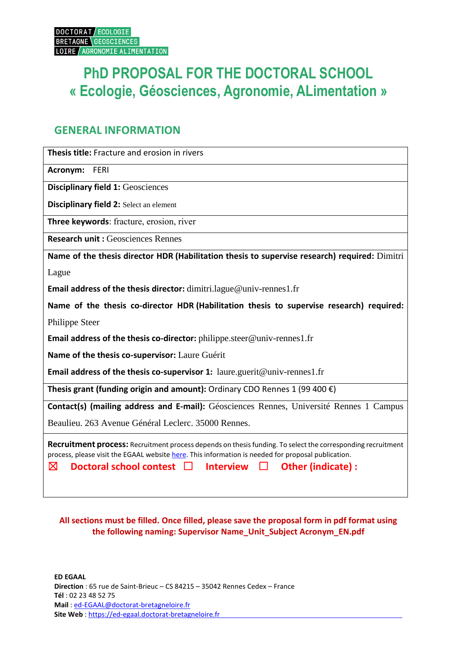# **PhD PROPOSAL FOR THE DOCTORAL SCHOOL « Ecologie, Géosciences, Agronomie, ALimentation »**

## **GENERAL INFORMATION**

**Thesis title:** Fracture and erosion in rivers **Acronym:** FERI **Disciplinary field 1:** Geosciences **Disciplinary field 2:** Select an element **Three keywords**: fracture, erosion, river **Research unit :** Geosciences Rennes **Name of the thesis director HDR (Habilitation thesis to supervise research) required:** Dimitri Lague **Email address of the thesis director:** dimitri.lague@univ-rennes1.fr **Name of the thesis co-director HDR (Habilitation thesis to supervise research) required:** Philippe Steer **Email address of the thesis co-director:** philippe.steer@univ-rennes1.fr **Name of the thesis co-supervisor:** Laure Guérit **Email address of the thesis co-supervisor 1:** laure.guerit@univ-rennes1.fr **Thesis grant (funding origin and amount):** Ordinary CDO Rennes 1 (99 400 €) **Contact(s) (mailing address and E-mail):** Géosciences Rennes, Université Rennes 1 Campus Beaulieu. 263 Avenue Général Leclerc. 35000 Rennes. **Recruitment process:** Recruitment process depends on thesis funding. To select the corresponding recruitment process, please visit the EGAAL website [here.](https://ed-egaal.u-bretagneloire.fr/fr/5_recruter-des-doctorants-dans-led-egaal) This information is needed for proposal publication. ☒ **Doctoral school contest** ☐ **Interview** ☐ **Other (indicate) :** 

#### **All sections must be filled. Once filled, please save the proposal form in pdf format using the following naming: Supervisor Name\_Unit\_Subject Acronym\_EN.pdf**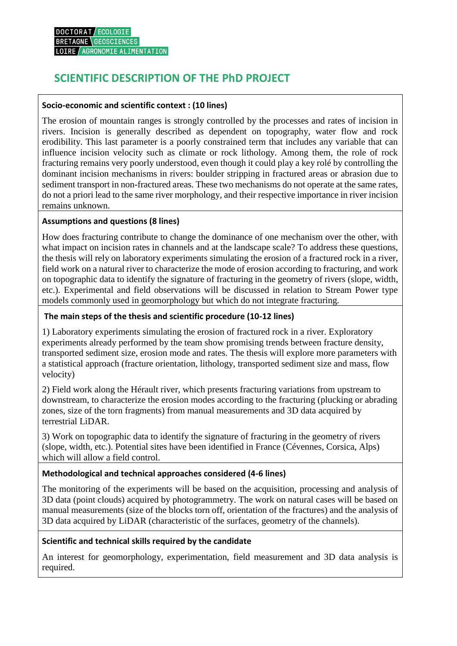# **SCIENTIFIC DESCRIPTION OF THE PhD PROJECT**

#### **Socio-economic and scientific context : (10 lines)**

The erosion of mountain ranges is strongly controlled by the processes and rates of incision in rivers. Incision is generally described as dependent on topography, water flow and rock erodibility. This last parameter is a poorly constrained term that includes any variable that can influence incision velocity such as climate or rock lithology. Among them, the role of rock fracturing remains very poorly understood, even though it could play a key rolé by controlling the dominant incision mechanisms in rivers: boulder stripping in fractured areas or abrasion due to sediment transport in non-fractured areas. These two mechanisms do not operate at the same rates, do not a priori lead to the same river morphology, and their respective importance in river incision remains unknown.

#### **Assumptions and questions (8 lines)**

How does fracturing contribute to change the dominance of one mechanism over the other, with what impact on incision rates in channels and at the landscape scale? To address these questions, the thesis will rely on laboratory experiments simulating the erosion of a fractured rock in a river, field work on a natural river to characterize the mode of erosion according to fracturing, and work on topographic data to identify the signature of fracturing in the geometry of rivers (slope, width, etc.). Experimental and field observations will be discussed in relation to Stream Power type models commonly used in geomorphology but which do not integrate fracturing.

#### **The main steps of the thesis and scientific procedure (10-12 lines)**

1) Laboratory experiments simulating the erosion of fractured rock in a river. Exploratory experiments already performed by the team show promising trends between fracture density, transported sediment size, erosion mode and rates. The thesis will explore more parameters with a statistical approach (fracture orientation, lithology, transported sediment size and mass, flow velocity)

2) Field work along the Hérault river, which presents fracturing variations from upstream to downstream, to characterize the erosion modes according to the fracturing (plucking or abrading zones, size of the torn fragments) from manual measurements and 3D data acquired by terrestrial LiDAR.

3) Work on topographic data to identify the signature of fracturing in the geometry of rivers (slope, width, etc.). Potential sites have been identified in France (Cévennes, Corsica, Alps) which will allow a field control.

#### **Methodological and technical approaches considered (4-6 lines)**

The monitoring of the experiments will be based on the acquisition, processing and analysis of 3D data (point clouds) acquired by photogrammetry. The work on natural cases will be based on manual measurements (size of the blocks torn off, orientation of the fractures) and the analysis of 3D data acquired by LiDAR (characteristic of the surfaces, geometry of the channels).

#### **Scientific and technical skills required by the candidate**

An interest for geomorphology, experimentation, field measurement and 3D data analysis is required.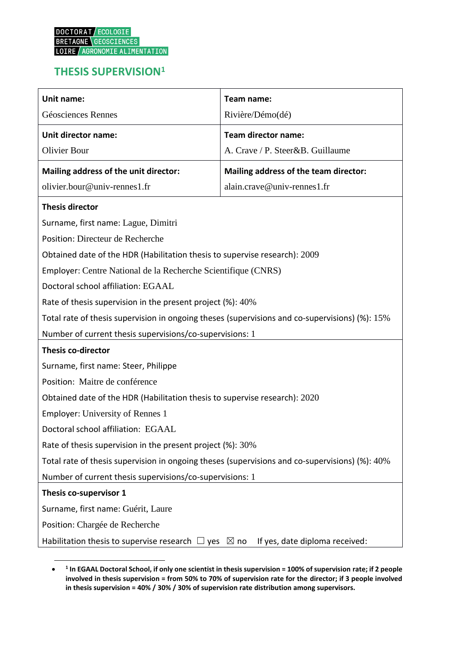# **THESIS SUPERVISION<sup>1</sup>**

| Unit name:                                                                                         | Team name:                            |
|----------------------------------------------------------------------------------------------------|---------------------------------------|
| Géosciences Rennes                                                                                 | Rivière/Démo(dé)                      |
| <b>Unit director name:</b>                                                                         | <b>Team director name:</b>            |
| Olivier Bour                                                                                       | A. Crave / P. Steer&B. Guillaume      |
| Mailing address of the unit director:                                                              | Mailing address of the team director: |
| olivier.bour@univ-rennes1.fr                                                                       | alain.crave@univ-rennes1.fr           |
| <b>Thesis director</b>                                                                             |                                       |
| Surname, first name: Lague, Dimitri                                                                |                                       |
| Position: Directeur de Recherche                                                                   |                                       |
| Obtained date of the HDR (Habilitation thesis to supervise research): 2009                         |                                       |
| Employer: Centre National de la Recherche Scientifique (CNRS)                                      |                                       |
| Doctoral school affiliation: EGAAL                                                                 |                                       |
| Rate of thesis supervision in the present project (%): 40%                                         |                                       |
| Total rate of thesis supervision in ongoing theses (supervisions and co-supervisions) (%): 15%     |                                       |
| Number of current thesis supervisions/co-supervisions: 1                                           |                                       |
| <b>Thesis co-director</b>                                                                          |                                       |
| Surname, first name: Steer, Philippe                                                               |                                       |
| Position: Maitre de conférence                                                                     |                                       |
| Obtained date of the HDR (Habilitation thesis to supervise research): 2020                         |                                       |
| <b>Employer: University of Rennes 1</b>                                                            |                                       |
| Doctoral school affiliation: EGAAL                                                                 |                                       |
| Rate of thesis supervision in the present project $(\%)$ : 30%                                     |                                       |
| Total rate of thesis supervision in ongoing theses (supervisions and co-supervisions) (%): 40%     |                                       |
| Number of current thesis supervisions/co-supervisions: 1                                           |                                       |
| Thesis co-supervisor 1                                                                             |                                       |
| Surname, first name: Guérit, Laure                                                                 |                                       |
| Position: Chargée de Recherche                                                                     |                                       |
| Habilitation thesis to supervise research $\Box$ yes $\boxtimes$ no If yes, date diploma received: |                                       |
|                                                                                                    |                                       |

<sup>•</sup> **1 In EGAAL Doctoral School, if only one scientist in thesis supervision = 100% of supervision rate; if 2 people involved in thesis supervision = from 50% to 70% of supervision rate for the director; if 3 people involved in thesis supervision = 40% / 30% / 30% of supervision rate distribution among supervisors.**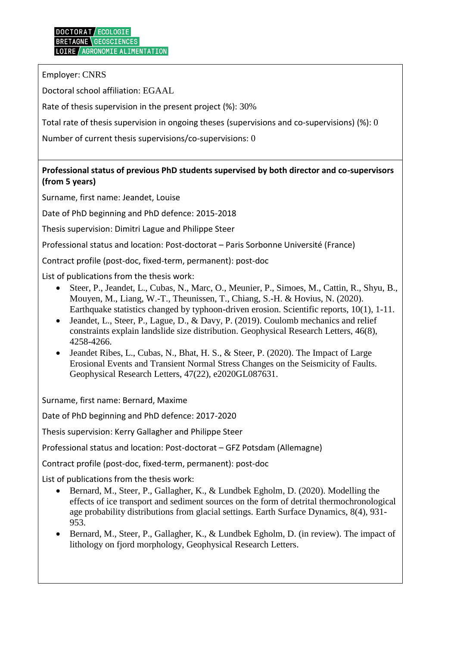Employer: CNRS

Doctoral school affiliation: EGAAL

Rate of thesis supervision in the present project (%): 30%

Total rate of thesis supervision in ongoing theses (supervisions and co-supervisions) (%): 0

Number of current thesis supervisions/co-supervisions: 0

#### **Professional status of previous PhD students supervised by both director and co-supervisors (from 5 years)**

Surname, first name: Jeandet, Louise

Date of PhD beginning and PhD defence: 2015-2018

Thesis supervision: Dimitri Lague and Philippe Steer

Professional status and location: Post-doctorat – Paris Sorbonne Université (France)

Contract profile (post-doc, fixed-term, permanent): post-doc

List of publications from the thesis work:

- Steer, P., Jeandet, L., Cubas, N., Marc, O., Meunier, P., Simoes, M., Cattin, R., Shyu, B., Mouyen, M., Liang, W.-T., Theunissen, T., Chiang, S.-H. & Hovius, N. (2020). Earthquake statistics changed by typhoon-driven erosion. Scientific reports, 10(1), 1-11.
- Jeandet, L., Steer, P., Lague, D., & Davy, P. (2019). Coulomb mechanics and relief constraints explain landslide size distribution. Geophysical Research Letters, 46(8), 4258-4266.
- Jeandet Ribes, L., Cubas, N., Bhat, H. S., & Steer, P. (2020). The Impact of Large Erosional Events and Transient Normal Stress Changes on the Seismicity of Faults. Geophysical Research Letters, 47(22), e2020GL087631.

Surname, first name: Bernard, Maxime

Date of PhD beginning and PhD defence: 2017-2020

Thesis supervision: Kerry Gallagher and Philippe Steer

Professional status and location: Post-doctorat – GFZ Potsdam (Allemagne)

Contract profile (post-doc, fixed-term, permanent): post-doc

List of publications from the thesis work:

- Bernard, M., Steer, P., Gallagher, K., & Lundbek Egholm, D. (2020). Modelling the effects of ice transport and sediment sources on the form of detrital thermochronological age probability distributions from glacial settings. Earth Surface Dynamics, 8(4), 931- 953.
- Bernard, M., Steer, P., Gallagher, K., & Lundbek Egholm, D. (in review). The impact of lithology on fjord morphology, Geophysical Research Letters.